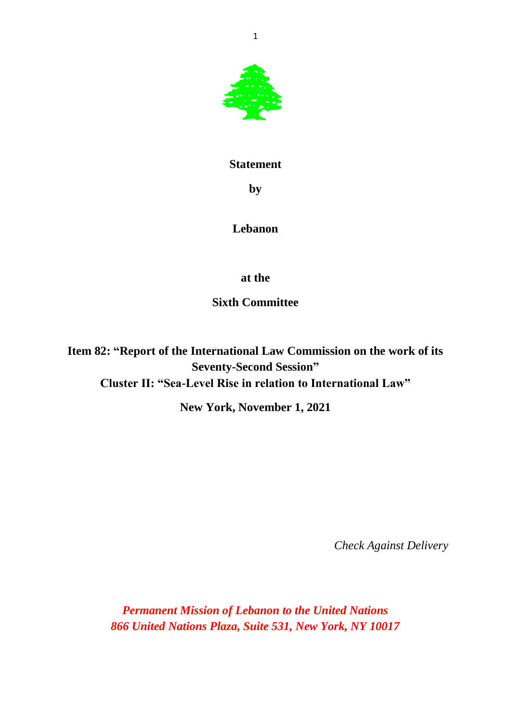

## **Statement**

**by**

## **Lebanon**

**at the**

**Sixth Committee**

**Item 82: "Report of the International Law Commission on the work of its Seventy-Second Session" Cluster II: "Sea-Level Rise in relation to International Law"**

**New York, November 1, 2021**

*Check Against Delivery*

*Permanent Mission of Lebanon to the United Nations 866 United Nations Plaza, Suite 531, New York, NY 10017*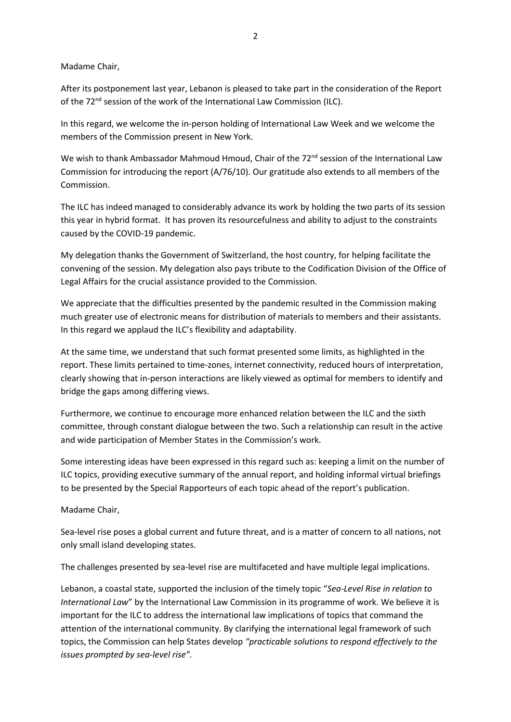## Madame Chair,

After its postponement last year, Lebanon is pleased to take part in the consideration of the Report of the 72<sup>nd</sup> session of the work of the International Law Commission (ILC).

In this regard, we welcome the in-person holding of International Law Week and we welcome the members of the Commission present in New York.

We wish to thank Ambassador Mahmoud Hmoud, Chair of the 72<sup>nd</sup> session of the International Law Commission for introducing the report (A/76/10). Our gratitude also extends to all members of the Commission.

The ILC has indeed managed to considerably advance its work by holding the two parts of its session this year in hybrid format. It has proven its resourcefulness and ability to adjust to the constraints caused by the COVID-19 pandemic.

My delegation thanks the Government of Switzerland, the host country, for helping facilitate the convening of the session. My delegation also pays tribute to the Codification Division of the Office of Legal Affairs for the crucial assistance provided to the Commission.

We appreciate that the difficulties presented by the pandemic resulted in the Commission making much greater use of electronic means for distribution of materials to members and their assistants. In this regard we applaud the ILC's flexibility and adaptability.

At the same time, we understand that such format presented some limits, as highlighted in the report. These limits pertained to time-zones, internet connectivity, reduced hours of interpretation, clearly showing that in-person interactions are likely viewed as optimal for members to identify and bridge the gaps among differing views.

Furthermore, we continue to encourage more enhanced relation between the ILC and the sixth committee, through constant dialogue between the two. Such a relationship can result in the active and wide participation of Member States in the Commission's work.

Some interesting ideas have been expressed in this regard such as: keeping a limit on the number of ILC topics, providing executive summary of the annual report, and holding informal virtual briefings to be presented by the Special Rapporteurs of each topic ahead of the report's publication.

Madame Chair,

Sea-level rise poses a global current and future threat, and is a matter of concern to all nations, not only small island developing states.

The challenges presented by sea-level rise are multifaceted and have multiple legal implications.

Lebanon, a coastal state, supported the inclusion of the timely topic "*Sea-Level Rise in relation to International Law*" by the International Law Commission in its programme of work. We believe it is important for the ILC to address the international law implications of topics that command the attention of the international community. By clarifying the international legal framework of such topics, the Commission can help States develop *"practicable solutions to respond effectively to the issues prompted by sea-level rise".*